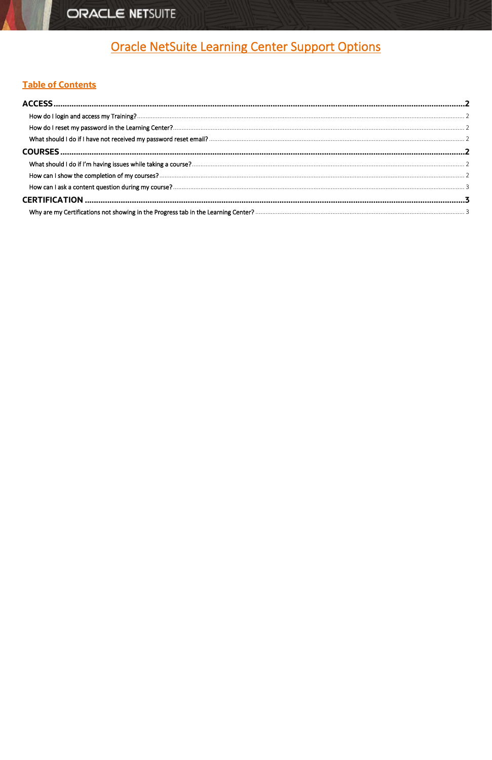# ORACLE NETSUITE

# **Oracle NetSuite Learning Center Support Options**

# <span id="page-0-0"></span>**Table of Contents**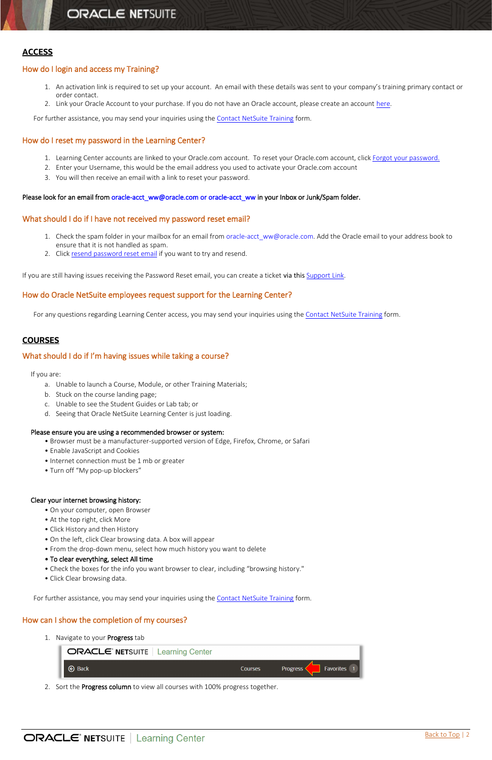# <span id="page-1-0"></span>**ACCESS**

# <span id="page-1-1"></span>How do I login and access my Training?

- 1. An activation link is required to set up your account. An email with these details was sent to your company's training primary contact or order contact.
- 2. Link your Oracle Account to your purchase. If you do not have an Oracle account, please create an account [here.](https://profile.oracle.com/myprofile/account/create-account.jspx)

For further assistance, you may send your inquiries using the [Contact NetSuite Training](https://nlcorp.extforms.netsuite.com/app/site/crm/externalcasepage.nl/compid.NLCORP/.f?formid=9604&h=AAFdikaIsKzWgOEgZeVBaV_CWvhFVzUNdF3cNNDx2iD_LLUmyhY&redirect_count=1&did_javascript_redirect=T) form.

# <span id="page-1-2"></span>How do I reset my password in the Learning Center?

- 1. Learning Center accounts are linked to your Oracle.com account. To reset your Oracle.com account, click [Forgot your password.](https://profile.oracle.com/myprofile/account/forgot-password.jspx)
- 2. Enter your Username, this would be the email address you used to activate your Oracle.com account
- 3. You will then receive an email with a link to reset your password.

#### Please look for an email from oracle-acct\_ww@oracle.com or oracle-acct\_ww in your Inbox or Junk/Spam folder.

### <span id="page-1-3"></span>What should I do if I have not received my password reset email?

- 1. Check the spam folder in your mailbox for an email from oracle-acct\_ww@oracle.com. Add the Oracle email to your address book to ensure that it is not handled as spam.
- 2. Click [resend password reset email](https://profile.oracle.com/myprofile/account/forgot-password.jspx) if you want to try and resend.

If you are still having issues receiving the Password Reset email, you can create a ticket via this [Support Link.](https://go.oracle.com/LP=49780?elqCampaignId=60550)

# How do Oracle NetSuite employees request support for the Learning Center?

For any questions regarding Learning Center access, you may send your inquiries using the [Contact NetSuite Training](https://nlcorp.extforms.netsuite.com/app/site/crm/externalcasepage.nl/compid.NLCORP/.f?formid=9604&h=AAFdikaIsKzWgOEgZeVBaV_CWvhFVzUNdF3cNNDx2iD_LLUmyhY&redirect_count=1&did_javascript_redirect=T) form.

# <span id="page-1-4"></span>**COURSES**

#### <span id="page-1-5"></span>What should I do if I'm having issues while taking a course?

If you are:

- a. Unable to launch a Course, Module, or other Training Materials;
- b. Stuck on the course landing page;
- c. Unable to see the Student Guides or Lab tab; or
- d. Seeing that Oracle NetSuite Learning Center is just loading.

#### Please ensure you are using a recommended browser or system:

- Browser must be a manufacturer-supported version of Edge, Firefox, Chrome, or Safari
- Enable JavaScript and Cookies
- Internet connection must be 1 mb or greater
- Turn off "My pop-up blockers"

#### Clear your internet browsing history:

- On your computer, open Browser
- At the top right, click More
- Click History and then History
- On the left, click Clear browsing data. A box will appear
- From the drop-down menu, select how much history you want to delete
- 

#### • To clear everything, select All time

- Check the boxes for the info you want browser to clear, including "browsing history."
- Click Clear browsing data.

For further assistance, you may send your inquiries using the [Contact NetSuite Training](https://nlcorp.extforms.netsuite.com/app/site/crm/externalcasepage.nl/compid.NLCORP/.f?formid=9604&h=AAFdikaIsKzWgOEgZeVBaV_CWvhFVzUNdF3cNNDx2iD_LLUmyhY&redirect_count=1&did_javascript_redirect=T) form.

# <span id="page-1-6"></span>How can I show the completion of my courses?

1. Navigate to your Progress tab

| <b>ORACLE' NETSUITE</b>   Learning Center |                |                         |
|-------------------------------------------|----------------|-------------------------|
| <b>⊙</b> Back                             | <b>Courses</b> | Favorites 1<br>Progress |

2. Sort the Progress column to view all courses with 100% progress together.